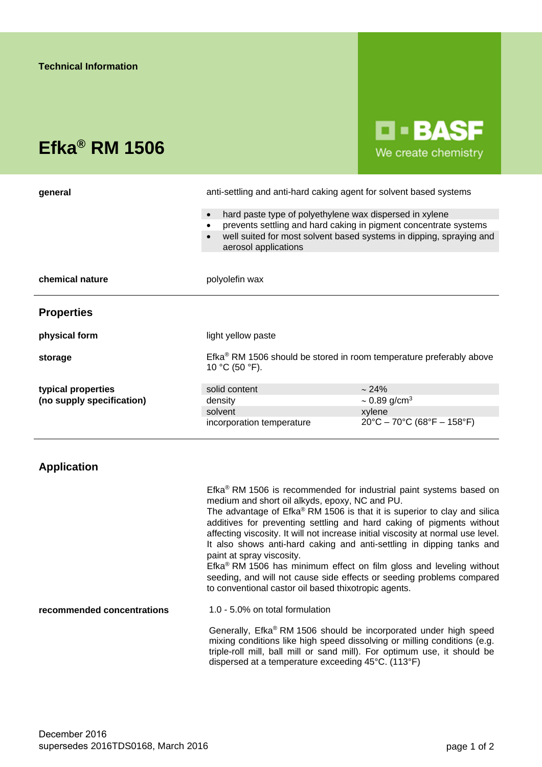# **Efka® RM 1506**

**D-BASF** We create chemistry

| general                   | anti-settling and anti-hard caking agent for solvent based systems                                       |                                      |
|---------------------------|----------------------------------------------------------------------------------------------------------|--------------------------------------|
|                           | hard paste type of polyethylene wax dispersed in xylene<br>$\bullet$                                     |                                      |
|                           | prevents settling and hard caking in pigment concentrate systems<br>$\bullet$                            |                                      |
|                           | well suited for most solvent based systems in dipping, spraying and<br>$\bullet$<br>aerosol applications |                                      |
|                           |                                                                                                          |                                      |
| chemical nature           | polyolefin wax                                                                                           |                                      |
| <b>Properties</b>         |                                                                                                          |                                      |
| physical form             | light yellow paste                                                                                       |                                      |
| storage                   | Efka <sup>®</sup> RM 1506 should be stored in room temperature preferably above<br>10 °C (50 °F).        |                                      |
| typical properties        | solid content                                                                                            | $\sim$ 24%                           |
| (no supply specification) | density                                                                                                  | $\sim$ 0.89 g/cm <sup>3</sup>        |
|                           | solvent                                                                                                  | xylene                               |
|                           | incorporation temperature                                                                                | $20^{\circ}$ C - 70°C (68°F - 158°F) |

# **Application**

Efka® RM 1506 is recommended for industrial paint systems based on medium and short oil alkyds, epoxy, NC and PU.

The advantage of Efka® RM 1506 is that it is superior to clay and silica additives for preventing settling and hard caking of pigments without affecting viscosity. It will not increase initial viscosity at normal use level. It also shows anti-hard caking and anti-settling in dipping tanks and paint at spray viscosity.

Efka® RM 1506 has minimum effect on film gloss and leveling without seeding, and will not cause side effects or seeding problems compared to conventional castor oil based thixotropic agents.

**recommended concentrations** 1.0 - 5.0% on total formulation

Generally, Efka® RM 1506 should be incorporated under high speed mixing conditions like high speed dissolving or milling conditions (e.g. triple-roll mill, ball mill or sand mill). For optimum use, it should be dispersed at a temperature exceeding 45°C. (113°F)